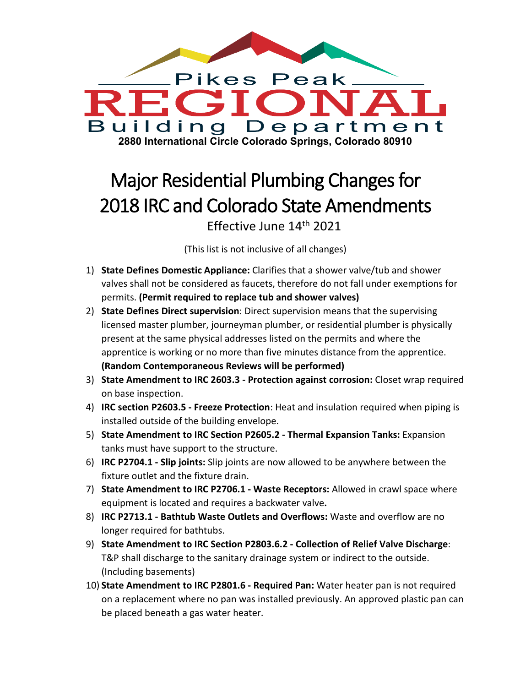

## Major Residential Plumbing Changes for 2018 IRC and Colorado State Amendments Effective June 14th 2021

(This list is not inclusive of all changes)

- 1) **State Defines Domestic Appliance:** Clarifies that a shower valve/tub and shower valves shall not be considered as faucets, therefore do not fall under exemptions for permits. **(Permit required to replace tub and shower valves)**
- 2) **State Defines Direct supervision**: Direct supervision means that the supervising licensed master plumber, journeyman plumber, or residential plumber is physically present at the same physical addresses listed on the permits and where the apprentice is working or no more than five minutes distance from the apprentice. **(Random Contemporaneous Reviews will be performed)**
- 3) **State Amendment to IRC 2603.3 - Protection against corrosion:** Closet wrap required on base inspection.
- 4) **IRC section P2603.5 - Freeze Protection**: Heat and insulation required when piping is installed outside of the building envelope.
- 5) **State Amendment to IRC Section P2605.2 - Thermal Expansion Tanks:** Expansion tanks must have support to the structure.
- 6) **IRC P2704.1 - Slip joints:** Slip joints are now allowed to be anywhere between the fixture outlet and the fixture drain.
- 7) **State Amendment to IRC P2706.1 - Waste Receptors:** Allowed in crawl space where equipment is located and requires a backwater valve**.**
- 8) **IRC P2713.1 - Bathtub Waste Outlets and Overflows:** Waste and overflow are no longer required for bathtubs.
- 9) **State Amendment to IRC Section P2803.6.2 - Collection of Relief Valve Discharge**: T&P shall discharge to the sanitary drainage system or indirect to the outside. (Including basements)
- 10) **State Amendment to IRC P2801.6 - Required Pan:** Water heater pan is not required on a replacement where no pan was installed previously. An approved plastic pan can be placed beneath a gas water heater.